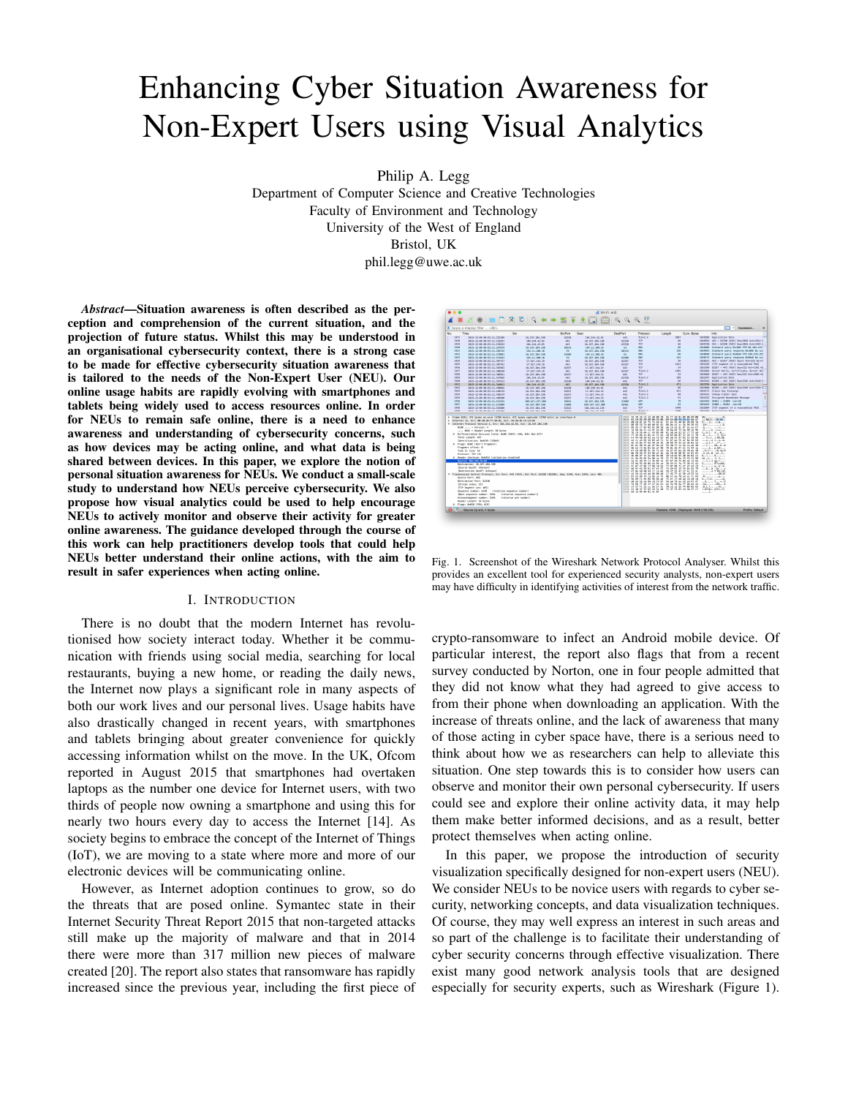# Enhancing Cyber Situation Awareness for Non-Expert Users using Visual Analytics

Philip A. Legg

Department of Computer Science and Creative Technologies Faculty of Environment and Technology University of the West of England Bristol, UK phil.legg@uwe.ac.uk

*Abstract*—Situation awareness is often described as the perception and comprehension of the current situation, and the projection of future status. Whilst this may be understood in an organisational cybersecurity context, there is a strong case to be made for effective cybersecurity situation awareness that is tailored to the needs of the Non-Expert User (NEU). Our online usage habits are rapidly evolving with smartphones and tablets being widely used to access resources online. In order for NEUs to remain safe online, there is a need to enhance awareness and understanding of cybersecurity concerns, such as how devices may be acting online, and what data is being shared between devices. In this paper, we explore the notion of personal situation awareness for NEUs. We conduct a small-scale study to understand how NEUs perceive cybersecurity. We also propose how visual analytics could be used to help encourage NEUs to actively monitor and observe their activity for greater online awareness. The guidance developed through the course of this work can help practitioners develop tools that could help NEUs better understand their online actions, with the aim to result in safer experiences when acting online.

## I. INTRODUCTION

There is no doubt that the modern Internet has revolutionised how society interact today. Whether it be communication with friends using social media, searching for local restaurants, buying a new home, or reading the daily news, the Internet now plays a significant role in many aspects of both our work lives and our personal lives. Usage habits have also drastically changed in recent years, with smartphones and tablets bringing about greater convenience for quickly accessing information whilst on the move. In the UK, Ofcom reported in August 2015 that smartphones had overtaken laptops as the number one device for Internet users, with two thirds of people now owning a smartphone and using this for nearly two hours every day to access the Internet [14]. As society begins to embrace the concept of the Internet of Things (IoT), we are moving to a state where more and more of our electronic devices will be communicating online.

However, as Internet adoption continues to grow, so do the threats that are posed online. Symantec state in their Internet Security Threat Report 2015 that non-targeted attacks still make up the majority of malware and that in 2014 there were more than 317 million new pieces of malware created [20]. The report also states that ransomware has rapidly increased since the previous year, including the first piece of



Fig. 1. Screenshot of the Wireshark Network Protocol Analyser. Whilst this provides an excellent tool for experienced security analysts, non-expert users may have difficulty in identifying activities of interest from the network traffic.

crypto-ransomware to infect an Android mobile device. Of particular interest, the report also flags that from a recent survey conducted by Norton, one in four people admitted that they did not know what they had agreed to give access to from their phone when downloading an application. With the increase of threats online, and the lack of awareness that many of those acting in cyber space have, there is a serious need to think about how we as researchers can help to alleviate this situation. One step towards this is to consider how users can observe and monitor their own personal cybersecurity. If users could see and explore their online activity data, it may help them make better informed decisions, and as a result, better protect themselves when acting online.

In this paper, we propose the introduction of security visualization specifically designed for non-expert users (NEU). We consider NEUs to be novice users with regards to cyber security, networking concepts, and data visualization techniques. Of course, they may well express an interest in such areas and so part of the challenge is to facilitate their understanding of cyber security concerns through effective visualization. There exist many good network analysis tools that are designed especially for security experts, such as Wireshark (Figure 1).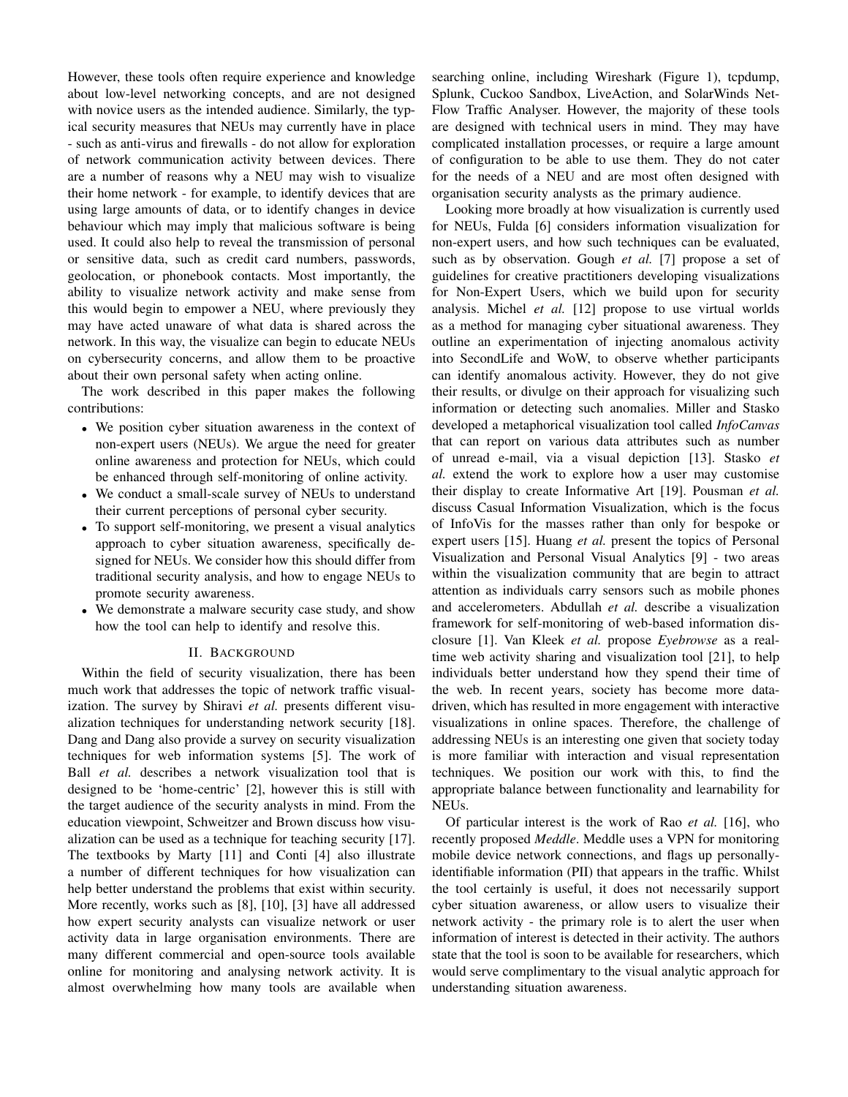However, these tools often require experience and knowledge about low-level networking concepts, and are not designed with novice users as the intended audience. Similarly, the typical security measures that NEUs may currently have in place - such as anti-virus and firewalls - do not allow for exploration of network communication activity between devices. There are a number of reasons why a NEU may wish to visualize their home network - for example, to identify devices that are using large amounts of data, or to identify changes in device behaviour which may imply that malicious software is being used. It could also help to reveal the transmission of personal or sensitive data, such as credit card numbers, passwords, geolocation, or phonebook contacts. Most importantly, the ability to visualize network activity and make sense from this would begin to empower a NEU, where previously they may have acted unaware of what data is shared across the network. In this way, the visualize can begin to educate NEUs on cybersecurity concerns, and allow them to be proactive about their own personal safety when acting online.

The work described in this paper makes the following contributions:

- We position cyber situation awareness in the context of non-expert users (NEUs). We argue the need for greater online awareness and protection for NEUs, which could be enhanced through self-monitoring of online activity.
- We conduct a small-scale survey of NEUs to understand their current perceptions of personal cyber security.
- To support self-monitoring, we present a visual analytics approach to cyber situation awareness, specifically designed for NEUs. We consider how this should differ from traditional security analysis, and how to engage NEUs to promote security awareness.
- We demonstrate a malware security case study, and show how the tool can help to identify and resolve this.

## II. BACKGROUND

Within the field of security visualization, there has been much work that addresses the topic of network traffic visualization. The survey by Shiravi *et al.* presents different visualization techniques for understanding network security [18]. Dang and Dang also provide a survey on security visualization techniques for web information systems [5]. The work of Ball *et al.* describes a network visualization tool that is designed to be 'home-centric' [2], however this is still with the target audience of the security analysts in mind. From the education viewpoint, Schweitzer and Brown discuss how visualization can be used as a technique for teaching security [17]. The textbooks by Marty [11] and Conti [4] also illustrate a number of different techniques for how visualization can help better understand the problems that exist within security. More recently, works such as [8], [10], [3] have all addressed how expert security analysts can visualize network or user activity data in large organisation environments. There are many different commercial and open-source tools available online for monitoring and analysing network activity. It is almost overwhelming how many tools are available when searching online, including Wireshark (Figure 1), tcpdump, Splunk, Cuckoo Sandbox, LiveAction, and SolarWinds Net-Flow Traffic Analyser. However, the majority of these tools are designed with technical users in mind. They may have complicated installation processes, or require a large amount of configuration to be able to use them. They do not cater for the needs of a NEU and are most often designed with organisation security analysts as the primary audience.

Looking more broadly at how visualization is currently used for NEUs, Fulda [6] considers information visualization for non-expert users, and how such techniques can be evaluated, such as by observation. Gough *et al.* [7] propose a set of guidelines for creative practitioners developing visualizations for Non-Expert Users, which we build upon for security analysis. Michel *et al.* [12] propose to use virtual worlds as a method for managing cyber situational awareness. They outline an experimentation of injecting anomalous activity into SecondLife and WoW, to observe whether participants can identify anomalous activity. However, they do not give their results, or divulge on their approach for visualizing such information or detecting such anomalies. Miller and Stasko developed a metaphorical visualization tool called *InfoCanvas* that can report on various data attributes such as number of unread e-mail, via a visual depiction [13]. Stasko *et al.* extend the work to explore how a user may customise their display to create Informative Art [19]. Pousman *et al.* discuss Casual Information Visualization, which is the focus of InfoVis for the masses rather than only for bespoke or expert users [15]. Huang *et al.* present the topics of Personal Visualization and Personal Visual Analytics [9] - two areas within the visualization community that are begin to attract attention as individuals carry sensors such as mobile phones and accelerometers. Abdullah *et al.* describe a visualization framework for self-monitoring of web-based information disclosure [1]. Van Kleek *et al.* propose *Eyebrowse* as a realtime web activity sharing and visualization tool [21], to help individuals better understand how they spend their time of the web. In recent years, society has become more datadriven, which has resulted in more engagement with interactive visualizations in online spaces. Therefore, the challenge of addressing NEUs is an interesting one given that society today is more familiar with interaction and visual representation techniques. We position our work with this, to find the appropriate balance between functionality and learnability for NEUs.

Of particular interest is the work of Rao *et al.* [16], who recently proposed *Meddle*. Meddle uses a VPN for monitoring mobile device network connections, and flags up personallyidentifiable information (PII) that appears in the traffic. Whilst the tool certainly is useful, it does not necessarily support cyber situation awareness, or allow users to visualize their network activity - the primary role is to alert the user when information of interest is detected in their activity. The authors state that the tool is soon to be available for researchers, which would serve complimentary to the visual analytic approach for understanding situation awareness.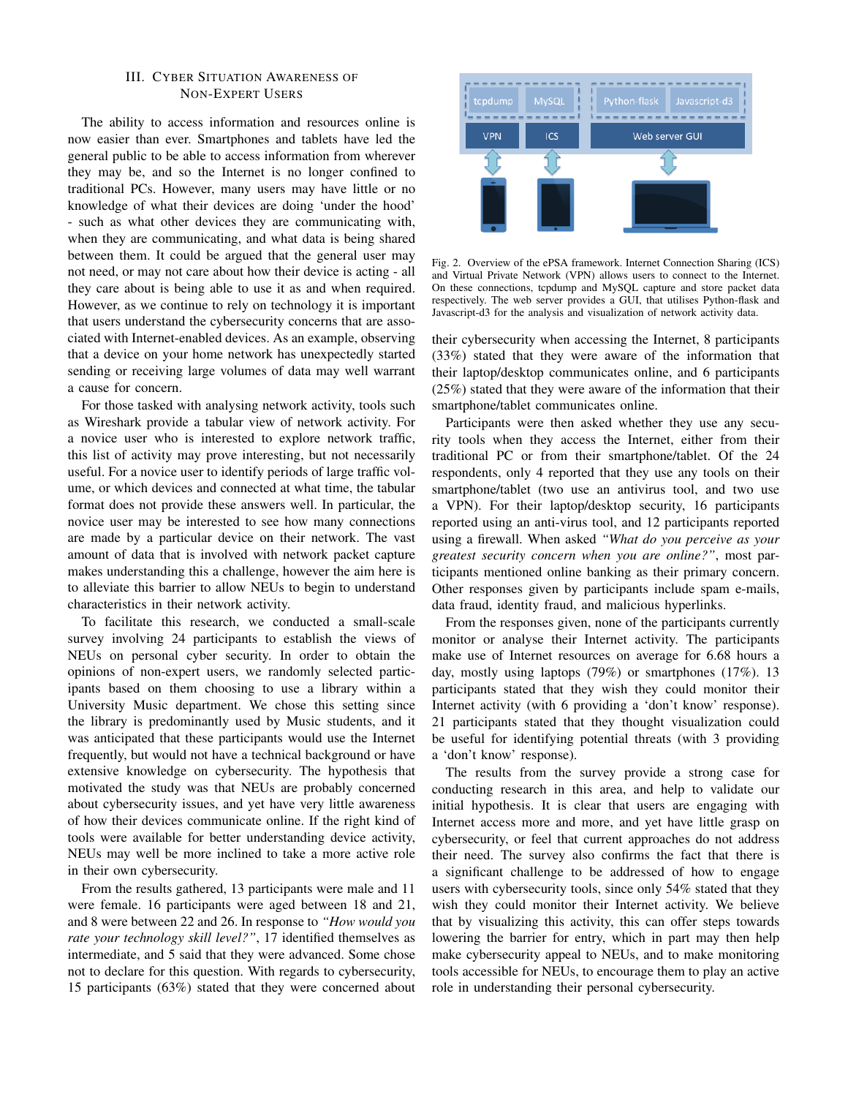# III. CYBER SITUATION AWARENESS OF NON-EXPERT USERS

The ability to access information and resources online is now easier than ever. Smartphones and tablets have led the general public to be able to access information from wherever they may be, and so the Internet is no longer confined to traditional PCs. However, many users may have little or no knowledge of what their devices are doing 'under the hood' - such as what other devices they are communicating with, when they are communicating, and what data is being shared between them. It could be argued that the general user may not need, or may not care about how their device is acting - all they care about is being able to use it as and when required. However, as we continue to rely on technology it is important that users understand the cybersecurity concerns that are associated with Internet-enabled devices. As an example, observing that a device on your home network has unexpectedly started sending or receiving large volumes of data may well warrant a cause for concern.

For those tasked with analysing network activity, tools such as Wireshark provide a tabular view of network activity. For a novice user who is interested to explore network traffic, this list of activity may prove interesting, but not necessarily useful. For a novice user to identify periods of large traffic volume, or which devices and connected at what time, the tabular format does not provide these answers well. In particular, the novice user may be interested to see how many connections are made by a particular device on their network. The vast amount of data that is involved with network packet capture makes understanding this a challenge, however the aim here is to alleviate this barrier to allow NEUs to begin to understand characteristics in their network activity.

To facilitate this research, we conducted a small-scale survey involving 24 participants to establish the views of NEUs on personal cyber security. In order to obtain the opinions of non-expert users, we randomly selected participants based on them choosing to use a library within a University Music department. We chose this setting since the library is predominantly used by Music students, and it was anticipated that these participants would use the Internet frequently, but would not have a technical background or have extensive knowledge on cybersecurity. The hypothesis that motivated the study was that NEUs are probably concerned about cybersecurity issues, and yet have very little awareness of how their devices communicate online. If the right kind of tools were available for better understanding device activity, NEUs may well be more inclined to take a more active role in their own cybersecurity.

From the results gathered, 13 participants were male and 11 were female. 16 participants were aged between 18 and 21, and 8 were between 22 and 26. In response to *"How would you rate your technology skill level?"*, 17 identified themselves as intermediate, and 5 said that they were advanced. Some chose not to declare for this question. With regards to cybersecurity, 15 participants (63%) stated that they were concerned about



Fig. 2. Overview of the ePSA framework. Internet Connection Sharing (ICS) and Virtual Private Network (VPN) allows users to connect to the Internet. On these connections, tcpdump and MySQL capture and store packet data respectively. The web server provides a GUI, that utilises Python-flask and Javascript-d3 for the analysis and visualization of network activity data.

their cybersecurity when accessing the Internet, 8 participants (33%) stated that they were aware of the information that their laptop/desktop communicates online, and 6 participants (25%) stated that they were aware of the information that their smartphone/tablet communicates online.

Participants were then asked whether they use any security tools when they access the Internet, either from their traditional PC or from their smartphone/tablet. Of the 24 respondents, only 4 reported that they use any tools on their smartphone/tablet (two use an antivirus tool, and two use a VPN). For their laptop/desktop security, 16 participants reported using an anti-virus tool, and 12 participants reported using a firewall. When asked *"What do you perceive as your greatest security concern when you are online?"*, most participants mentioned online banking as their primary concern. Other responses given by participants include spam e-mails, data fraud, identity fraud, and malicious hyperlinks.

From the responses given, none of the participants currently monitor or analyse their Internet activity. The participants make use of Internet resources on average for 6.68 hours a day, mostly using laptops (79%) or smartphones (17%). 13 participants stated that they wish they could monitor their Internet activity (with 6 providing a 'don't know' response). 21 participants stated that they thought visualization could be useful for identifying potential threats (with 3 providing a 'don't know' response).

The results from the survey provide a strong case for conducting research in this area, and help to validate our initial hypothesis. It is clear that users are engaging with Internet access more and more, and yet have little grasp on cybersecurity, or feel that current approaches do not address their need. The survey also confirms the fact that there is a significant challenge to be addressed of how to engage users with cybersecurity tools, since only 54% stated that they wish they could monitor their Internet activity. We believe that by visualizing this activity, this can offer steps towards lowering the barrier for entry, which in part may then help make cybersecurity appeal to NEUs, and to make monitoring tools accessible for NEUs, to encourage them to play an active role in understanding their personal cybersecurity.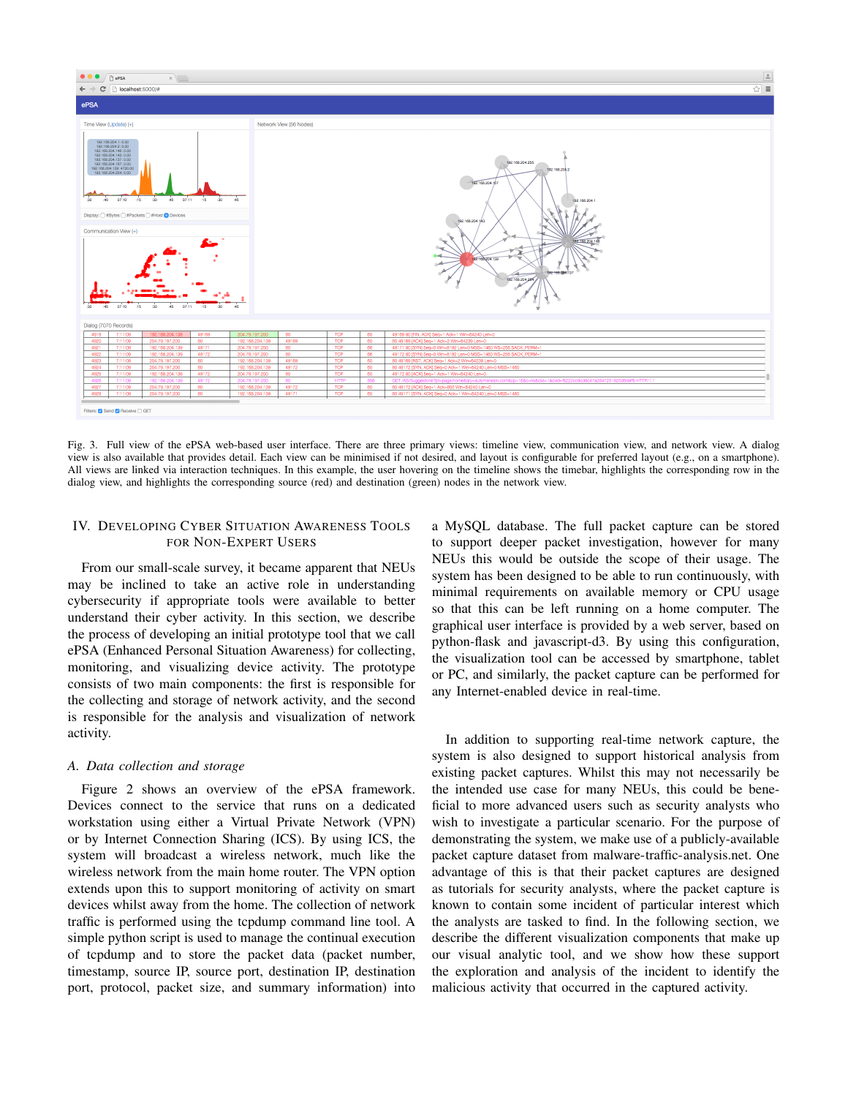

Fig. 3. Full view of the ePSA web-based user interface. There are three primary views: timeline view, communication view, and network view. A dialog view is also available that provides detail. Each view can be minimised if not desired, and layout is configurable for preferred layout (e.g., on a smartphone). All views are linked via interaction techniques. In this example, the user hovering on the timeline shows the timebar, highlights the corresponding row in the dialog view, and highlights the corresponding source (red) and destination (green) nodes in the network view.

# IV. DEVELOPING CYBER SITUATION AWARENESS TOOLS FOR NON-EXPERT USERS

From our small-scale survey, it became apparent that NEUs may be inclined to take an active role in understanding cybersecurity if appropriate tools were available to better understand their cyber activity. In this section, we describe the process of developing an initial prototype tool that we call ePSA (Enhanced Personal Situation Awareness) for collecting, monitoring, and visualizing device activity. The prototype consists of two main components: the first is responsible for the collecting and storage of network activity, and the second is responsible for the analysis and visualization of network activity.

## *A. Data collection and storage*

Figure 2 shows an overview of the ePSA framework. Devices connect to the service that runs on a dedicated workstation using either a Virtual Private Network (VPN) or by Internet Connection Sharing (ICS). By using ICS, the system will broadcast a wireless network, much like the wireless network from the main home router. The VPN option extends upon this to support monitoring of activity on smart devices whilst away from the home. The collection of network traffic is performed using the tcpdump command line tool. A simple python script is used to manage the continual execution of tcpdump and to store the packet data (packet number, timestamp, source IP, source port, destination IP, destination port, protocol, packet size, and summary information) into

a MySQL database. The full packet capture can be stored to support deeper packet investigation, however for many NEUs this would be outside the scope of their usage. The system has been designed to be able to run continuously, with minimal requirements on available memory or CPU usage so that this can be left running on a home computer. The graphical user interface is provided by a web server, based on python-flask and javascript-d3. By using this configuration, the visualization tool can be accessed by smartphone, tablet or PC, and similarly, the packet capture can be performed for any Internet-enabled device in real-time.

In addition to supporting real-time network capture, the system is also designed to support historical analysis from existing packet captures. Whilst this may not necessarily be the intended use case for many NEUs, this could be beneficial to more advanced users such as security analysts who wish to investigate a particular scenario. For the purpose of demonstrating the system, we make use of a publicly-available packet capture dataset from malware-traffic-analysis.net. One advantage of this is that their packet captures are designed as tutorials for security analysts, where the packet capture is known to contain some incident of particular interest which the analysts are tasked to find. In the following section, we describe the different visualization components that make up our visual analytic tool, and we show how these support the exploration and analysis of the incident to identify the malicious activity that occurred in the captured activity.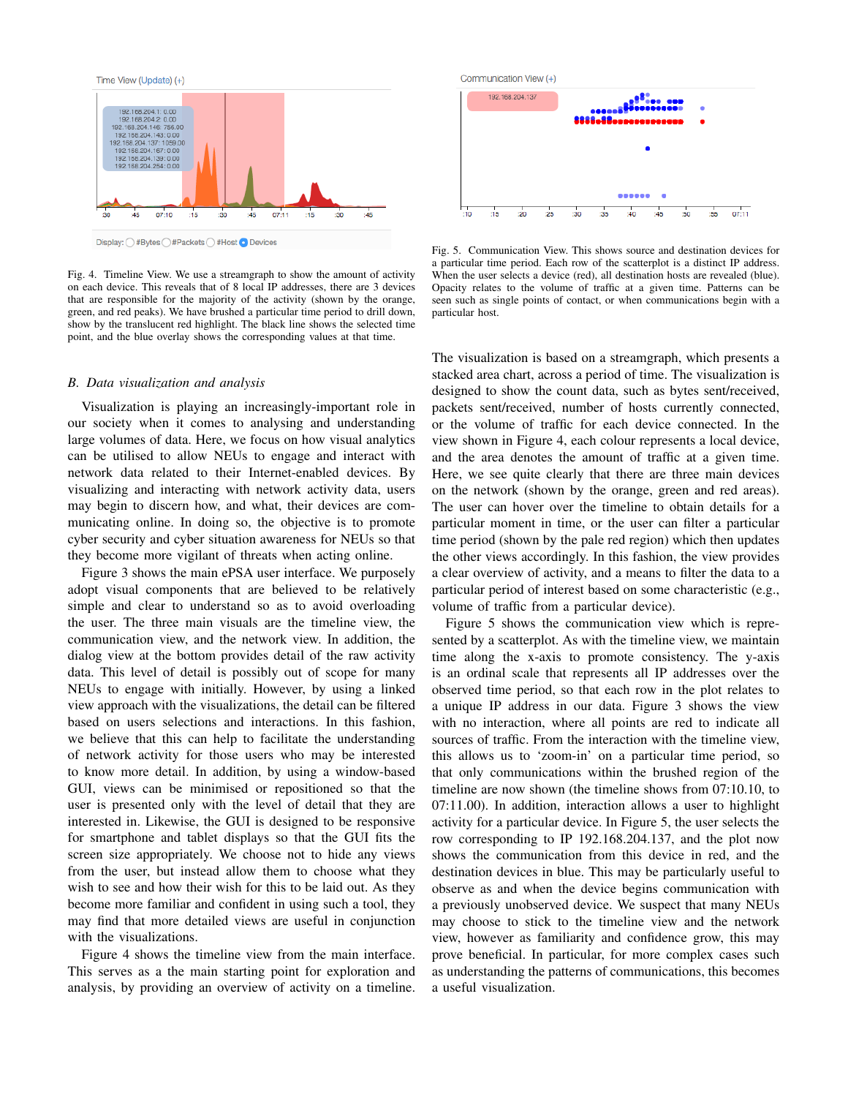

Display: ○ #Bytes ○ #Packets ○ #Host ● Devices

Fig. 4. Timeline View. We use a streamgraph to show the amount of activity on each device. This reveals that of 8 local IP addresses, there are 3 devices that are responsible for the majority of the activity (shown by the orange, green, and red peaks). We have brushed a particular time period to drill down, show by the translucent red highlight. The black line shows the selected time point, and the blue overlay shows the corresponding values at that time.

#### *B. Data visualization and analysis*

Visualization is playing an increasingly-important role in our society when it comes to analysing and understanding large volumes of data. Here, we focus on how visual analytics can be utilised to allow NEUs to engage and interact with network data related to their Internet-enabled devices. By visualizing and interacting with network activity data, users may begin to discern how, and what, their devices are communicating online. In doing so, the objective is to promote cyber security and cyber situation awareness for NEUs so that they become more vigilant of threats when acting online.

Figure 3 shows the main ePSA user interface. We purposely adopt visual components that are believed to be relatively simple and clear to understand so as to avoid overloading the user. The three main visuals are the timeline view, the communication view, and the network view. In addition, the dialog view at the bottom provides detail of the raw activity data. This level of detail is possibly out of scope for many NEUs to engage with initially. However, by using a linked view approach with the visualizations, the detail can be filtered based on users selections and interactions. In this fashion, we believe that this can help to facilitate the understanding of network activity for those users who may be interested to know more detail. In addition, by using a window-based GUI, views can be minimised or repositioned so that the user is presented only with the level of detail that they are interested in. Likewise, the GUI is designed to be responsive for smartphone and tablet displays so that the GUI fits the screen size appropriately. We choose not to hide any views from the user, but instead allow them to choose what they wish to see and how their wish for this to be laid out. As they become more familiar and confident in using such a tool, they may find that more detailed views are useful in conjunction with the visualizations.

Figure 4 shows the timeline view from the main interface. This serves as a the main starting point for exploration and analysis, by providing an overview of activity on a timeline.



Fig. 5. Communication View. This shows source and destination devices for a particular time period. Each row of the scatterplot is a distinct IP address. When the user selects a device (red), all destination hosts are revealed (blue). Opacity relates to the volume of traffic at a given time. Patterns can be seen such as single points of contact, or when communications begin with a particular host.

The visualization is based on a streamgraph, which presents a stacked area chart, across a period of time. The visualization is designed to show the count data, such as bytes sent/received, packets sent/received, number of hosts currently connected, or the volume of traffic for each device connected. In the view shown in Figure 4, each colour represents a local device, and the area denotes the amount of traffic at a given time. Here, we see quite clearly that there are three main devices on the network (shown by the orange, green and red areas). The user can hover over the timeline to obtain details for a particular moment in time, or the user can filter a particular time period (shown by the pale red region) which then updates the other views accordingly. In this fashion, the view provides a clear overview of activity, and a means to filter the data to a particular period of interest based on some characteristic (e.g., volume of traffic from a particular device).

Figure 5 shows the communication view which is represented by a scatterplot. As with the timeline view, we maintain time along the x-axis to promote consistency. The y-axis is an ordinal scale that represents all IP addresses over the observed time period, so that each row in the plot relates to a unique IP address in our data. Figure 3 shows the view with no interaction, where all points are red to indicate all sources of traffic. From the interaction with the timeline view, this allows us to 'zoom-in' on a particular time period, so that only communications within the brushed region of the timeline are now shown (the timeline shows from 07:10.10, to 07:11.00). In addition, interaction allows a user to highlight activity for a particular device. In Figure 5, the user selects the row corresponding to IP 192.168.204.137, and the plot now shows the communication from this device in red, and the destination devices in blue. This may be particularly useful to observe as and when the device begins communication with a previously unobserved device. We suspect that many NEUs may choose to stick to the timeline view and the network view, however as familiarity and confidence grow, this may prove beneficial. In particular, for more complex cases such as understanding the patterns of communications, this becomes a useful visualization.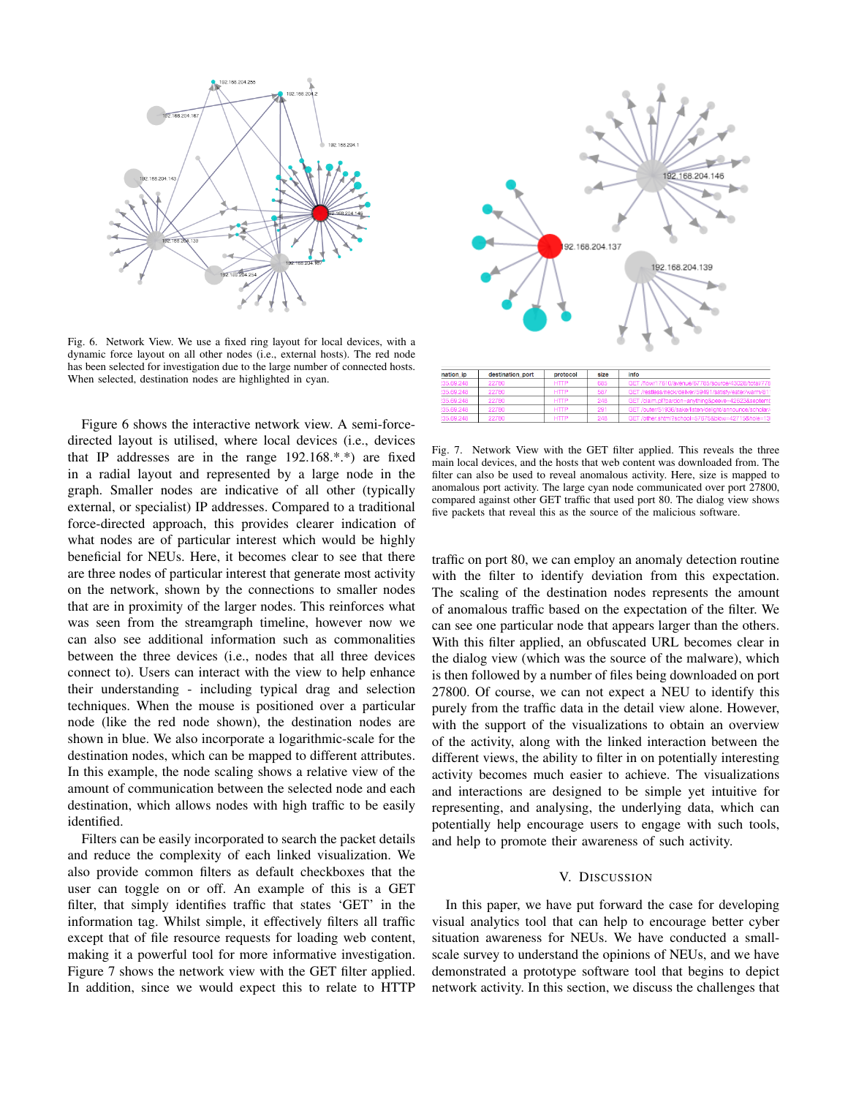

Fig. 6. Network View. We use a fixed ring layout for local devices, with a dynamic force layout on all other nodes (i.e., external hosts). The red node has been selected for investigation due to the large number of connected hosts. When selected, destination nodes are highlighted in cyan.

Figure 6 shows the interactive network view. A semi-forcedirected layout is utilised, where local devices (i.e., devices that IP addresses are in the range 192.168.\*.\*) are fixed in a radial layout and represented by a large node in the graph. Smaller nodes are indicative of all other (typically external, or specialist) IP addresses. Compared to a traditional force-directed approach, this provides clearer indication of what nodes are of particular interest which would be highly beneficial for NEUs. Here, it becomes clear to see that there are three nodes of particular interest that generate most activity on the network, shown by the connections to smaller nodes that are in proximity of the larger nodes. This reinforces what was seen from the streamgraph timeline, however now we can also see additional information such as commonalities between the three devices (i.e., nodes that all three devices connect to). Users can interact with the view to help enhance their understanding - including typical drag and selection techniques. When the mouse is positioned over a particular node (like the red node shown), the destination nodes are shown in blue. We also incorporate a logarithmic-scale for the destination nodes, which can be mapped to different attributes. In this example, the node scaling shows a relative view of the amount of communication between the selected node and each destination, which allows nodes with high traffic to be easily identified.

Filters can be easily incorporated to search the packet details and reduce the complexity of each linked visualization. We also provide common filters as default checkboxes that the user can toggle on or off. An example of this is a GET filter, that simply identifies traffic that states 'GET' in the information tag. Whilst simple, it effectively filters all traffic except that of file resource requests for loading web content, making it a powerful tool for more informative investigation. Figure 7 shows the network view with the GET filter applied. In addition, since we would expect this to relate to HTTP



Fig. 7. Network View with the GET filter applied. This reveals the three main local devices, and the hosts that web content was downloaded from. The filter can also be used to reveal anomalous activity. Here, size is mapped to anomalous port activity. The large cyan node communicated over port 27800, compared against other GET traffic that used port 80. The dialog view shows five packets that reveal this as the source of the malicious software.

traffic on port 80, we can employ an anomaly detection routine with the filter to identify deviation from this expectation. The scaling of the destination nodes represents the amount of anomalous traffic based on the expectation of the filter. We can see one particular node that appears larger than the others. With this filter applied, an obfuscated URL becomes clear in the dialog view (which was the source of the malware), which is then followed by a number of files being downloaded on port 27800. Of course, we can not expect a NEU to identify this purely from the traffic data in the detail view alone. However, with the support of the visualizations to obtain an overview of the activity, along with the linked interaction between the different views, the ability to filter in on potentially interesting activity becomes much easier to achieve. The visualizations and interactions are designed to be simple yet intuitive for representing, and analysing, the underlying data, which can potentially help encourage users to engage with such tools, and help to promote their awareness of such activity.

## V. DISCUSSION

In this paper, we have put forward the case for developing visual analytics tool that can help to encourage better cyber situation awareness for NEUs. We have conducted a smallscale survey to understand the opinions of NEUs, and we have demonstrated a prototype software tool that begins to depict network activity. In this section, we discuss the challenges that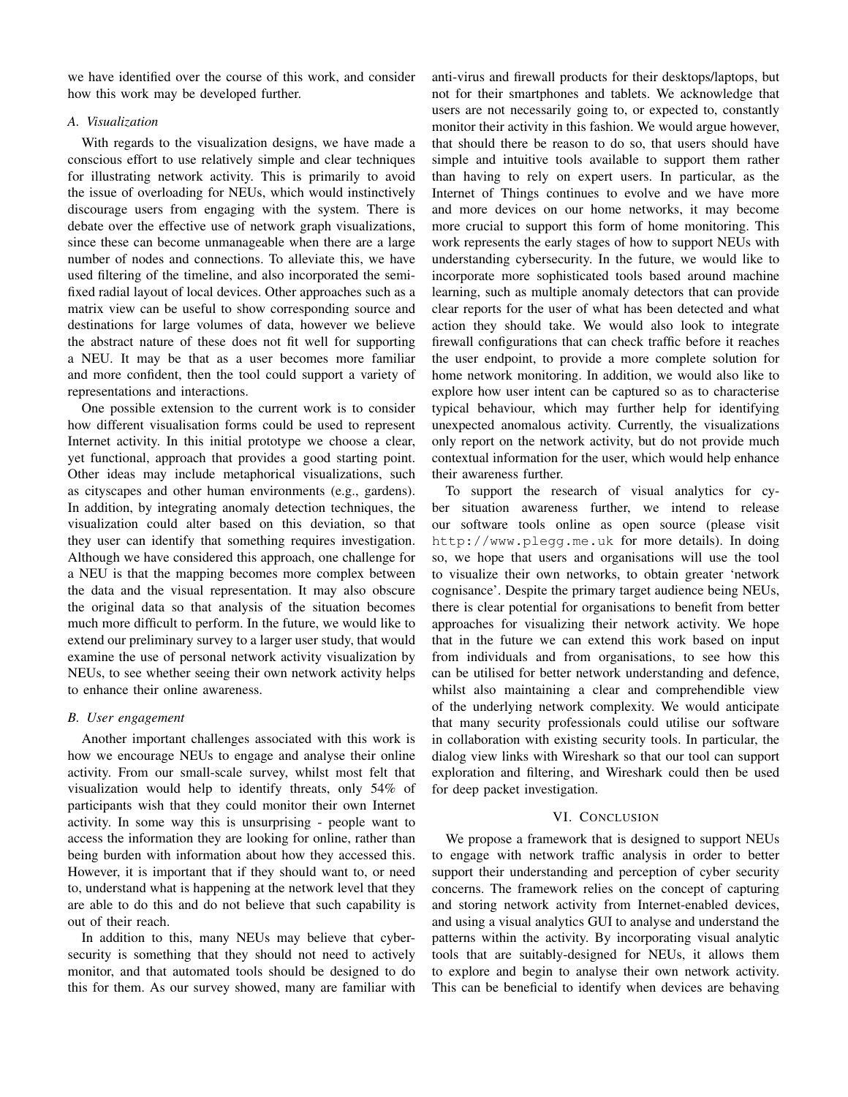we have identified over the course of this work, and consider how this work may be developed further.

# *A. Visualization*

With regards to the visualization designs, we have made a conscious effort to use relatively simple and clear techniques for illustrating network activity. This is primarily to avoid the issue of overloading for NEUs, which would instinctively discourage users from engaging with the system. There is debate over the effective use of network graph visualizations, since these can become unmanageable when there are a large number of nodes and connections. To alleviate this, we have used filtering of the timeline, and also incorporated the semifixed radial layout of local devices. Other approaches such as a matrix view can be useful to show corresponding source and destinations for large volumes of data, however we believe the abstract nature of these does not fit well for supporting a NEU. It may be that as a user becomes more familiar and more confident, then the tool could support a variety of representations and interactions.

One possible extension to the current work is to consider how different visualisation forms could be used to represent Internet activity. In this initial prototype we choose a clear, yet functional, approach that provides a good starting point. Other ideas may include metaphorical visualizations, such as cityscapes and other human environments (e.g., gardens). In addition, by integrating anomaly detection techniques, the visualization could alter based on this deviation, so that they user can identify that something requires investigation. Although we have considered this approach, one challenge for a NEU is that the mapping becomes more complex between the data and the visual representation. It may also obscure the original data so that analysis of the situation becomes much more difficult to perform. In the future, we would like to extend our preliminary survey to a larger user study, that would examine the use of personal network activity visualization by NEUs, to see whether seeing their own network activity helps to enhance their online awareness.

## *B. User engagement*

Another important challenges associated with this work is how we encourage NEUs to engage and analyse their online activity. From our small-scale survey, whilst most felt that visualization would help to identify threats, only 54% of participants wish that they could monitor their own Internet activity. In some way this is unsurprising - people want to access the information they are looking for online, rather than being burden with information about how they accessed this. However, it is important that if they should want to, or need to, understand what is happening at the network level that they are able to do this and do not believe that such capability is out of their reach.

In addition to this, many NEUs may believe that cybersecurity is something that they should not need to actively monitor, and that automated tools should be designed to do this for them. As our survey showed, many are familiar with anti-virus and firewall products for their desktops/laptops, but not for their smartphones and tablets. We acknowledge that users are not necessarily going to, or expected to, constantly monitor their activity in this fashion. We would argue however, that should there be reason to do so, that users should have simple and intuitive tools available to support them rather than having to rely on expert users. In particular, as the Internet of Things continues to evolve and we have more and more devices on our home networks, it may become more crucial to support this form of home monitoring. This work represents the early stages of how to support NEUs with understanding cybersecurity. In the future, we would like to incorporate more sophisticated tools based around machine learning, such as multiple anomaly detectors that can provide clear reports for the user of what has been detected and what action they should take. We would also look to integrate firewall configurations that can check traffic before it reaches the user endpoint, to provide a more complete solution for home network monitoring. In addition, we would also like to explore how user intent can be captured so as to characterise typical behaviour, which may further help for identifying unexpected anomalous activity. Currently, the visualizations only report on the network activity, but do not provide much contextual information for the user, which would help enhance their awareness further.

To support the research of visual analytics for cyber situation awareness further, we intend to release our software tools online as open source (please visit http://www.plegg.me.uk for more details). In doing so, we hope that users and organisations will use the tool to visualize their own networks, to obtain greater 'network cognisance'. Despite the primary target audience being NEUs, there is clear potential for organisations to benefit from better approaches for visualizing their network activity. We hope that in the future we can extend this work based on input from individuals and from organisations, to see how this can be utilised for better network understanding and defence, whilst also maintaining a clear and comprehendible view of the underlying network complexity. We would anticipate that many security professionals could utilise our software in collaboration with existing security tools. In particular, the dialog view links with Wireshark so that our tool can support exploration and filtering, and Wireshark could then be used for deep packet investigation.

## VI. CONCLUSION

We propose a framework that is designed to support NEUs to engage with network traffic analysis in order to better support their understanding and perception of cyber security concerns. The framework relies on the concept of capturing and storing network activity from Internet-enabled devices, and using a visual analytics GUI to analyse and understand the patterns within the activity. By incorporating visual analytic tools that are suitably-designed for NEUs, it allows them to explore and begin to analyse their own network activity. This can be beneficial to identify when devices are behaving